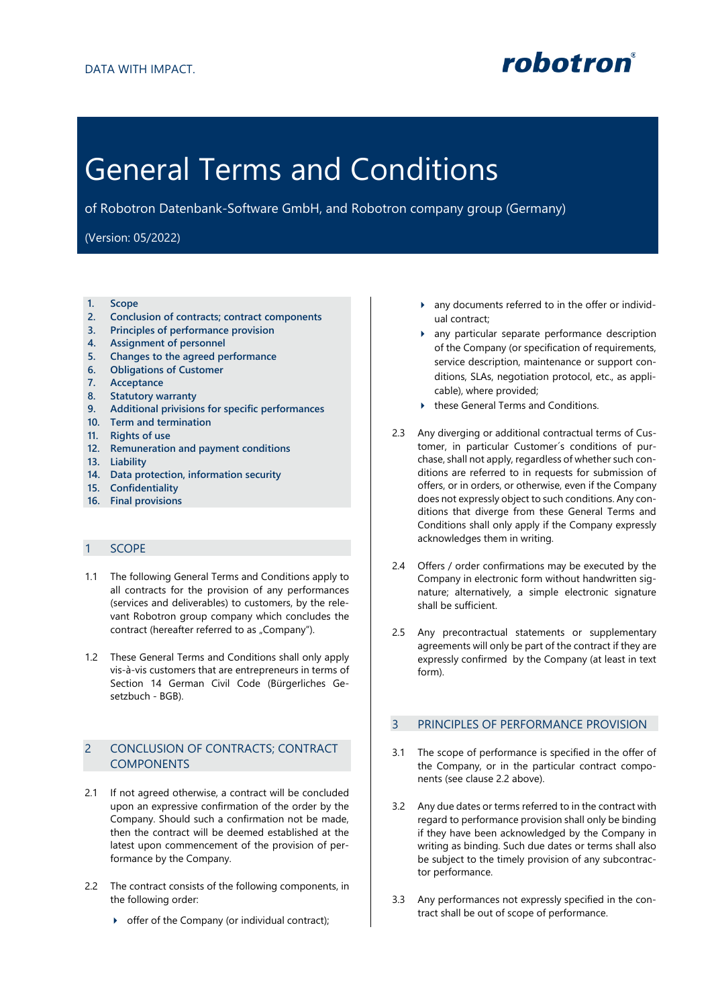

# General Terms and Conditions

of Robotron Datenbank-Software GmbH, and Robotron company group (Germany)

# (Version: 05/2022)

- **1. Scope**
- **2. Conclusion of contracts; contract components**
- **3. Principles of performance provision**
- **4. Assignment of personnel**
- **5. Changes to the agreed performance**
- **6. Obligations of Customer**
- **7. Acceptance**
- **8. Statutory warranty**
- **9. Additional privisions for specific performances**
- **10. Term and termination**
- **11. Rights of use**
- **12. Remuneration and payment conditions**
- **13. Liability**
- **14. Data protection, information security**
- **15. Confidentiality**
- **16. Final provisions**

# 1 SCOPE

- 1.1 The following General Terms and Conditions apply to all contracts for the provision of any performances (services and deliverables) to customers, by the relevant Robotron group company which concludes the contract (hereafter referred to as "Company").
- 1.2 These General Terms and Conditions shall only apply vis-à-vis customers that are entrepreneurs in terms of Section 14 German Civil Code (Bürgerliches Gesetzbuch - BGB).

# 2 CONCLUSION OF CONTRACTS; CONTRACT COMPONENTS

- 2.1 If not agreed otherwise, a contract will be concluded upon an expressive confirmation of the order by the Company. Should such a confirmation not be made, then the contract will be deemed established at the latest upon commencement of the provision of performance by the Company.
- 2.2 The contract consists of the following components, in the following order:
	- offer of the Company (or individual contract);
- any documents referred to in the offer or individual contract;
- any particular separate performance description of the Company (or specification of requirements, service description, maintenance or support conditions, SLAs, negotiation protocol, etc., as applicable), where provided;
- ▶ these General Terms and Conditions.
- 2.3 Any diverging or additional contractual terms of Customer, in particular Customer´s conditions of purchase, shall not apply, regardless of whether such conditions are referred to in requests for submission of offers, or in orders, or otherwise, even if the Company does not expressly object to such conditions. Any conditions that diverge from these General Terms and Conditions shall only apply if the Company expressly acknowledges them in writing.
- 2.4 Offers / order confirmations may be executed by the Company in electronic form without handwritten signature; alternatively, a simple electronic signature shall be sufficient.
- 2.5 Any precontractual statements or supplementary agreements will only be part of the contract if they are expressly confirmed by the Company (at least in text form).

### 3 PRINCIPLES OF PERFORMANCE PROVISION

- 3.1 The scope of performance is specified in the offer of the Company, or in the particular contract components (see clause 2.2 above).
- 3.2 Any due dates or terms referred to in the contract with regard to performance provision shall only be binding if they have been acknowledged by the Company in writing as binding. Such due dates or terms shall also be subject to the timely provision of any subcontractor performance.
- 3.3 Any performances not expressly specified in the contract shall be out of scope of performance.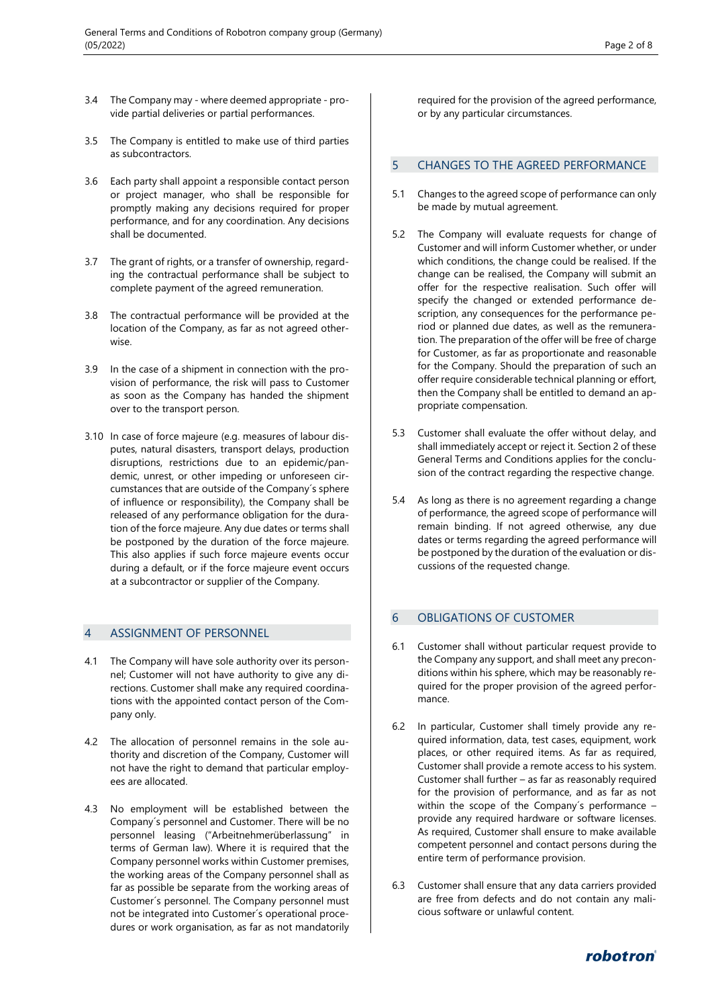- 3.4 The Company may where deemed appropriate provide partial deliveries or partial performances.
- 3.5 The Company is entitled to make use of third parties as subcontractors.
- 3.6 Each party shall appoint a responsible contact person or project manager, who shall be responsible for promptly making any decisions required for proper performance, and for any coordination. Any decisions shall be documented.
- 3.7 The grant of rights, or a transfer of ownership, regarding the contractual performance shall be subject to complete payment of the agreed remuneration.
- 3.8 The contractual performance will be provided at the location of the Company, as far as not agreed otherwise.
- 3.9 In the case of a shipment in connection with the provision of performance, the risk will pass to Customer as soon as the Company has handed the shipment over to the transport person.
- 3.10 In case of force majeure (e.g. measures of labour disputes, natural disasters, transport delays, production disruptions, restrictions due to an epidemic/pandemic, unrest, or other impeding or unforeseen circumstances that are outside of the Company´s sphere of influence or responsibility), the Company shall be released of any performance obligation for the duration of the force majeure. Any due dates or terms shall be postponed by the duration of the force majeure. This also applies if such force majeure events occur during a default, or if the force majeure event occurs at a subcontractor or supplier of the Company.

## 4 ASSIGNMENT OF PERSONNEL

- 4.1 The Company will have sole authority over its personnel; Customer will not have authority to give any directions. Customer shall make any required coordinations with the appointed contact person of the Company only.
- 4.2 The allocation of personnel remains in the sole authority and discretion of the Company, Customer will not have the right to demand that particular employees are allocated.
- 4.3 No employment will be established between the Company´s personnel and Customer. There will be no personnel leasing ("Arbeitnehmerüberlassung" in terms of German law). Where it is required that the Company personnel works within Customer premises, the working areas of the Company personnel shall as far as possible be separate from the working areas of Customer´s personnel. The Company personnel must not be integrated into Customer´s operational procedures or work organisation, as far as not mandatorily

required for the provision of the agreed performance, or by any particular circumstances.

### 5 CHANGES TO THE AGREED PERFORMANCE

- 5.1 Changes to the agreed scope of performance can only be made by mutual agreement.
- 5.2 The Company will evaluate requests for change of Customer and will inform Customer whether, or under which conditions, the change could be realised. If the change can be realised, the Company will submit an offer for the respective realisation. Such offer will specify the changed or extended performance description, any consequences for the performance period or planned due dates, as well as the remuneration. The preparation of the offer will be free of charge for Customer, as far as proportionate and reasonable for the Company. Should the preparation of such an offer require considerable technical planning or effort, then the Company shall be entitled to demand an appropriate compensation.
- 5.3 Customer shall evaluate the offer without delay, and shall immediately accept or reject it. Section 2 of these General Terms and Conditions applies for the conclusion of the contract regarding the respective change.
- 5.4 As long as there is no agreement regarding a change of performance, the agreed scope of performance will remain binding. If not agreed otherwise, any due dates or terms regarding the agreed performance will be postponed by the duration of the evaluation or discussions of the requested change.

## 6 OBLIGATIONS OF CUSTOMER

- 6.1 Customer shall without particular request provide to the Company any support, and shall meet any preconditions within his sphere, which may be reasonably required for the proper provision of the agreed performance.
- 6.2 In particular, Customer shall timely provide any required information, data, test cases, equipment, work places, or other required items. As far as required, Customer shall provide a remote access to his system. Customer shall further – as far as reasonably required for the provision of performance, and as far as not within the scope of the Company's performance provide any required hardware or software licenses. As required, Customer shall ensure to make available competent personnel and contact persons during the entire term of performance provision.
- 6.3 Customer shall ensure that any data carriers provided are free from defects and do not contain any malicious software or unlawful content.

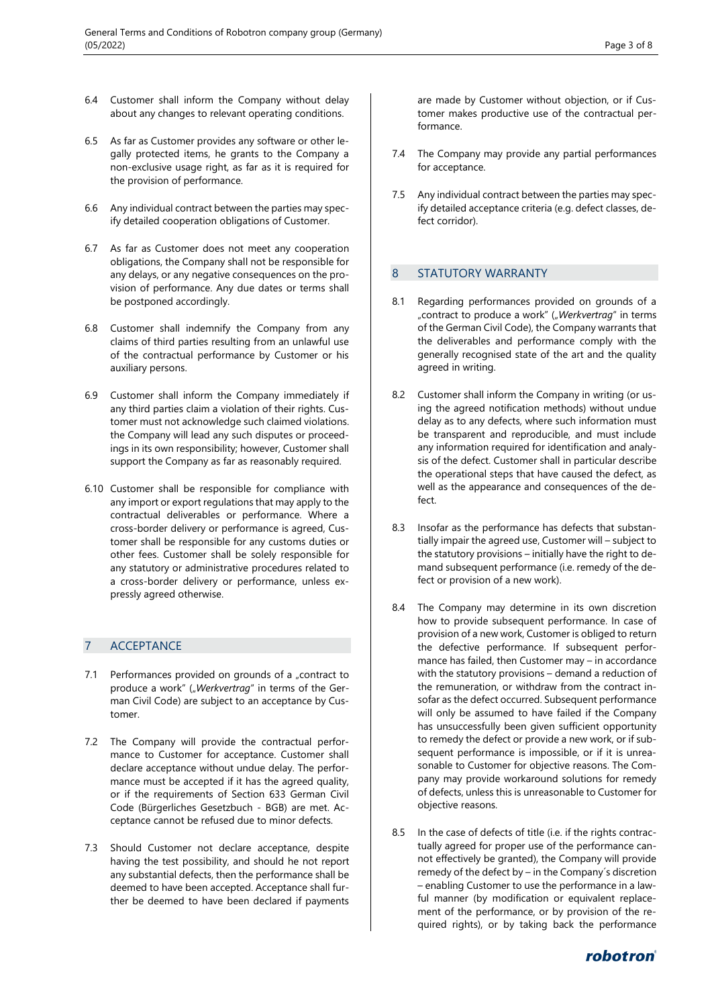- 6.4 Customer shall inform the Company without delay about any changes to relevant operating conditions.
- 6.5 As far as Customer provides any software or other legally protected items, he grants to the Company a non-exclusive usage right, as far as it is required for the provision of performance.
- 6.6 Any individual contract between the parties may specify detailed cooperation obligations of Customer.
- 6.7 As far as Customer does not meet any cooperation obligations, the Company shall not be responsible for any delays, or any negative consequences on the provision of performance. Any due dates or terms shall be postponed accordingly.
- 6.8 Customer shall indemnify the Company from any claims of third parties resulting from an unlawful use of the contractual performance by Customer or his auxiliary persons.
- 6.9 Customer shall inform the Company immediately if any third parties claim a violation of their rights. Customer must not acknowledge such claimed violations. the Company will lead any such disputes or proceedings in its own responsibility; however, Customer shall support the Company as far as reasonably required.
- 6.10 Customer shall be responsible for compliance with any import or export regulations that may apply to the contractual deliverables or performance. Where a cross-border delivery or performance is agreed, Customer shall be responsible for any customs duties or other fees. Customer shall be solely responsible for any statutory or administrative procedures related to a cross-border delivery or performance, unless expressly agreed otherwise.

# 7 ACCEPTANCE

- 7.1 Performances provided on grounds of a "contract to produce a work" ("Werkvertrag" in terms of the German Civil Code) are subject to an acceptance by Customer.
- 7.2 The Company will provide the contractual performance to Customer for acceptance. Customer shall declare acceptance without undue delay. The performance must be accepted if it has the agreed quality, or if the requirements of Section 633 German Civil Code (Bürgerliches Gesetzbuch - BGB) are met. Acceptance cannot be refused due to minor defects.
- 7.3 Should Customer not declare acceptance, despite having the test possibility, and should he not report any substantial defects, then the performance shall be deemed to have been accepted. Acceptance shall further be deemed to have been declared if payments

are made by Customer without objection, or if Customer makes productive use of the contractual performance.

- 7.4 The Company may provide any partial performances for acceptance.
- 7.5 Any individual contract between the parties may specify detailed acceptance criteria (e.g. defect classes, defect corridor).

# 8 STATUTORY WARRANTY

- 8.1 Regarding performances provided on grounds of a "contract to produce a work" ("Werkvertrag" in terms of the German Civil Code), the Company warrants that the deliverables and performance comply with the generally recognised state of the art and the quality agreed in writing.
- 8.2 Customer shall inform the Company in writing (or using the agreed notification methods) without undue delay as to any defects, where such information must be transparent and reproducible, and must include any information required for identification and analysis of the defect. Customer shall in particular describe the operational steps that have caused the defect, as well as the appearance and consequences of the defect.
- 8.3 Insofar as the performance has defects that substantially impair the agreed use, Customer will – subject to the statutory provisions – initially have the right to demand subsequent performance (i.e. remedy of the defect or provision of a new work).
- 8.4 The Company may determine in its own discretion how to provide subsequent performance. In case of provision of a new work, Customer is obliged to return the defective performance. If subsequent performance has failed, then Customer may – in accordance with the statutory provisions – demand a reduction of the remuneration, or withdraw from the contract insofar as the defect occurred. Subsequent performance will only be assumed to have failed if the Company has unsuccessfully been given sufficient opportunity to remedy the defect or provide a new work, or if subsequent performance is impossible, or if it is unreasonable to Customer for objective reasons. The Company may provide workaround solutions for remedy of defects, unless this is unreasonable to Customer for objective reasons.
- 8.5 In the case of defects of title (i.e. if the rights contractually agreed for proper use of the performance cannot effectively be granted), the Company will provide remedy of the defect by – in the Company´s discretion – enabling Customer to use the performance in a lawful manner (by modification or equivalent replacement of the performance, or by provision of the required rights), or by taking back the performance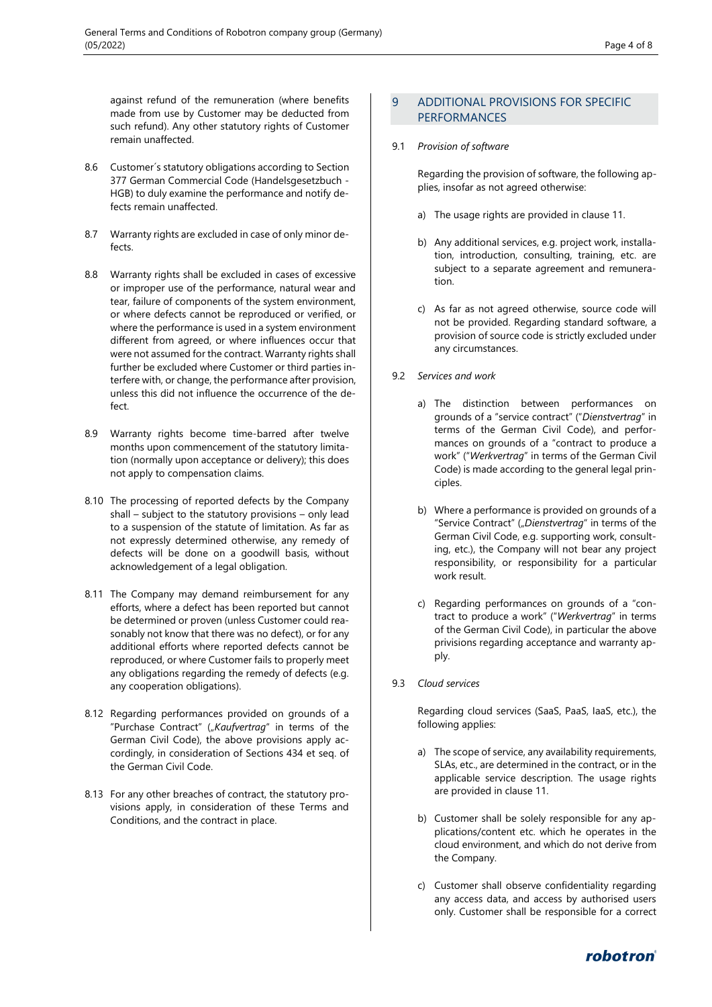against refund of the remuneration (where benefits made from use by Customer may be deducted from such refund). Any other statutory rights of Customer remain unaffected.

- 8.6 Customer´s statutory obligations according to Section 377 German Commercial Code (Handelsgesetzbuch - HGB) to duly examine the performance and notify defects remain unaffected.
- 8.7 Warranty rights are excluded in case of only minor defects.
- 8.8 Warranty rights shall be excluded in cases of excessive or improper use of the performance, natural wear and tear, failure of components of the system environment, or where defects cannot be reproduced or verified, or where the performance is used in a system environment different from agreed, or where influences occur that were not assumed for the contract. Warranty rights shall further be excluded where Customer or third parties interfere with, or change, the performance after provision, unless this did not influence the occurrence of the defect.
- 8.9 Warranty rights become time-barred after twelve months upon commencement of the statutory limitation (normally upon acceptance or delivery); this does not apply to compensation claims.
- 8.10 The processing of reported defects by the Company shall – subject to the statutory provisions – only lead to a suspension of the statute of limitation. As far as not expressly determined otherwise, any remedy of defects will be done on a goodwill basis, without acknowledgement of a legal obligation.
- 8.11 The Company may demand reimbursement for any efforts, where a defect has been reported but cannot be determined or proven (unless Customer could reasonably not know that there was no defect), or for any additional efforts where reported defects cannot be reproduced, or where Customer fails to properly meet any obligations regarding the remedy of defects (e.g. any cooperation obligations).
- 8.12 Regarding performances provided on grounds of a "Purchase Contract" ("Kaufvertrag" in terms of the German Civil Code), the above provisions apply accordingly, in consideration of Sections 434 et seq. of the German Civil Code.
- 8.13 For any other breaches of contract, the statutory provisions apply, in consideration of these Terms and Conditions, and the contract in place.

# 9 ADDITIONAL PROVISIONS FOR SPECIFIC PERFORMANCES

9.1 *Provision of software*

Regarding the provision of software, the following applies, insofar as not agreed otherwise:

- a) The usage rights are provided in clause 11.
- b) Any additional services, e.g. project work, installation, introduction, consulting, training, etc. are subject to a separate agreement and remuneration.
- c) As far as not agreed otherwise, source code will not be provided. Regarding standard software, a provision of source code is strictly excluded under any circumstances.
- 9.2 *Services and work*
	- a) The distinction between performances on grounds of a "service contract" ("*Dienstvertrag*" in terms of the German Civil Code), and performances on grounds of a "contract to produce a work" ("*Werkvertrag*" in terms of the German Civil Code) is made according to the general legal principles.
	- b) Where a performance is provided on grounds of a "Service Contract" ("Dienstvertrag" in terms of the German Civil Code, e.g. supporting work, consulting, etc.), the Company will not bear any project responsibility, or responsibility for a particular work result.
	- c) Regarding performances on grounds of a "contract to produce a work" ("*Werkvertrag*" in terms of the German Civil Code), in particular the above privisions regarding acceptance and warranty apply.
- 9.3 *Cloud services*

Regarding cloud services (SaaS, PaaS, IaaS, etc.), the following applies:

- a) The scope of service, any availability requirements, SLAs, etc., are determined in the contract, or in the applicable service description. The usage rights are provided in clause 11.
- b) Customer shall be solely responsible for any applications/content etc. which he operates in the cloud environment, and which do not derive from the Company.
- c) Customer shall observe confidentiality regarding any access data, and access by authorised users only. Customer shall be responsible for a correct

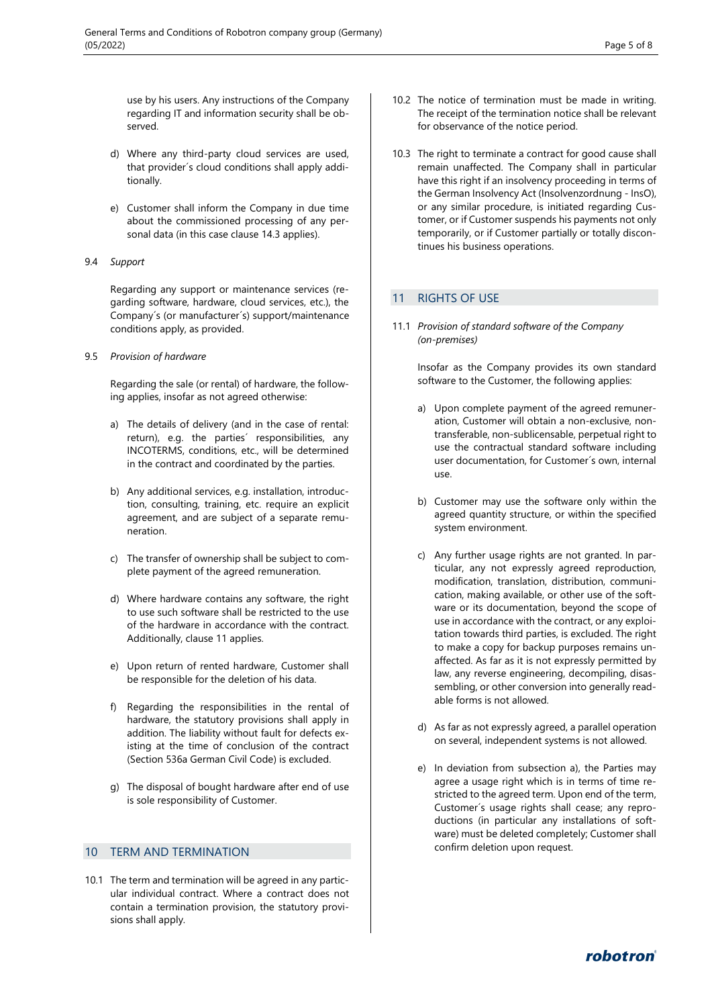use by his users. Any instructions of the Company regarding IT and information security shall be observed.

- d) Where any third-party cloud services are used, that provider´s cloud conditions shall apply additionally.
- e) Customer shall inform the Company in due time about the commissioned processing of any personal data (in this case clause 14.3 applies).
- 9.4 *Support*

Regarding any support or maintenance services (regarding software, hardware, cloud services, etc.), the Company´s (or manufacturer´s) support/maintenance conditions apply, as provided.

9.5 *Provision of hardware*

Regarding the sale (or rental) of hardware, the following applies, insofar as not agreed otherwise:

- a) The details of delivery (and in the case of rental: return), e.g. the parties´ responsibilities, any INCOTERMS, conditions, etc., will be determined in the contract and coordinated by the parties.
- b) Any additional services, e.g. installation, introduction, consulting, training, etc. require an explicit agreement, and are subject of a separate remuneration.
- c) The transfer of ownership shall be subject to complete payment of the agreed remuneration.
- d) Where hardware contains any software, the right to use such software shall be restricted to the use of the hardware in accordance with the contract. Additionally, clause 11 applies.
- e) Upon return of rented hardware, Customer shall be responsible for the deletion of his data.
- f) Regarding the responsibilities in the rental of hardware, the statutory provisions shall apply in addition. The liability without fault for defects existing at the time of conclusion of the contract (Section 536a German Civil Code) is excluded.
- g) The disposal of bought hardware after end of use is sole responsibility of Customer.

#### 10 TERM AND TERMINATION

10.1 The term and termination will be agreed in any particular individual contract. Where a contract does not contain a termination provision, the statutory provisions shall apply.

- 10.2 The notice of termination must be made in writing. The receipt of the termination notice shall be relevant for observance of the notice period.
- 10.3 The right to terminate a contract for good cause shall remain unaffected. The Company shall in particular have this right if an insolvency proceeding in terms of the German Insolvency Act (Insolvenzordnung - InsO), or any similar procedure, is initiated regarding Customer, or if Customer suspends his payments not only temporarily, or if Customer partially or totally discontinues his business operations.

#### 11 RIGHTS OF USE

11.1 *Provision of standard software of the Company (on-premises)*

> Insofar as the Company provides its own standard software to the Customer, the following applies:

- a) Upon complete payment of the agreed remuneration, Customer will obtain a non-exclusive, nontransferable, non-sublicensable, perpetual right to use the contractual standard software including user documentation, for Customer´s own, internal use.
- b) Customer may use the software only within the agreed quantity structure, or within the specified system environment.
- c) Any further usage rights are not granted. In particular, any not expressly agreed reproduction, modification, translation, distribution, communication, making available, or other use of the software or its documentation, beyond the scope of use in accordance with the contract, or any exploitation towards third parties, is excluded. The right to make a copy for backup purposes remains unaffected. As far as it is not expressly permitted by law, any reverse engineering, decompiling, disassembling, or other conversion into generally readable forms is not allowed.
- d) As far as not expressly agreed, a parallel operation on several, independent systems is not allowed.
- e) In deviation from subsection a), the Parties may agree a usage right which is in terms of time restricted to the agreed term. Upon end of the term, Customer´s usage rights shall cease; any reproductions (in particular any installations of software) must be deleted completely; Customer shall confirm deletion upon request.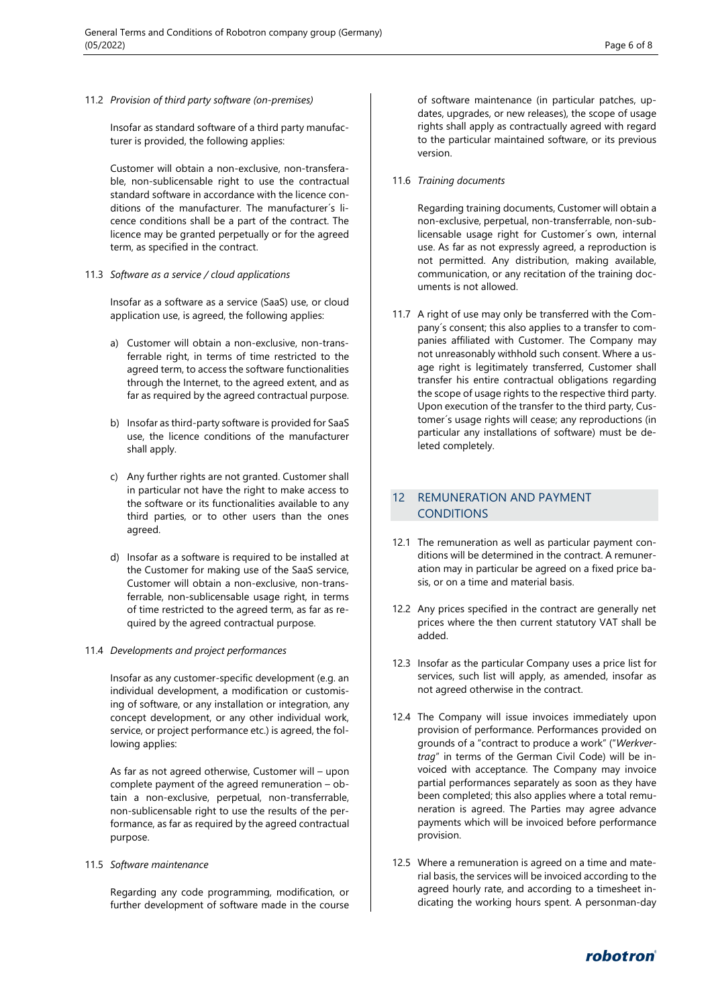11.2 *Provision of third party software (on-premises)*

Insofar as standard software of a third party manufacturer is provided, the following applies:

Customer will obtain a non-exclusive, non-transferable, non-sublicensable right to use the contractual standard software in accordance with the licence conditions of the manufacturer. The manufacturer´s licence conditions shall be a part of the contract. The licence may be granted perpetually or for the agreed term, as specified in the contract.

11.3 *Software as a service / cloud applications*

Insofar as a software as a service (SaaS) use, or cloud application use, is agreed, the following applies:

- a) Customer will obtain a non-exclusive, non-transferrable right, in terms of time restricted to the agreed term, to access the software functionalities through the Internet, to the agreed extent, and as far as required by the agreed contractual purpose.
- b) Insofar as third-party software is provided for SaaS use, the licence conditions of the manufacturer shall apply.
- c) Any further rights are not granted. Customer shall in particular not have the right to make access to the software or its functionalities available to any third parties, or to other users than the ones agreed.
- d) Insofar as a software is required to be installed at the Customer for making use of the SaaS service, Customer will obtain a non-exclusive, non-transferrable, non-sublicensable usage right, in terms of time restricted to the agreed term, as far as required by the agreed contractual purpose.

#### 11.4 *Developments and project performances*

Insofar as any customer-specific development (e.g. an individual development, a modification or customising of software, or any installation or integration, any concept development, or any other individual work, service, or project performance etc.) is agreed, the following applies:

As far as not agreed otherwise, Customer will – upon complete payment of the agreed remuneration – obtain a non-exclusive, perpetual, non-transferrable, non-sublicensable right to use the results of the performance, as far as required by the agreed contractual purpose.

11.5 *Software maintenance*

Regarding any code programming, modification, or further development of software made in the course

of software maintenance (in particular patches, updates, upgrades, or new releases), the scope of usage rights shall apply as contractually agreed with regard to the particular maintained software, or its previous version.

11.6 *Training documents*

Regarding training documents, Customer will obtain a non-exclusive, perpetual, non-transferrable, non-sublicensable usage right for Customer´s own, internal use. As far as not expressly agreed, a reproduction is not permitted. Any distribution, making available, communication, or any recitation of the training documents is not allowed.

11.7 A right of use may only be transferred with the Company´s consent; this also applies to a transfer to companies affiliated with Customer. The Company may not unreasonably withhold such consent. Where a usage right is legitimately transferred, Customer shall transfer his entire contractual obligations regarding the scope of usage rights to the respective third party. Upon execution of the transfer to the third party, Customer´s usage rights will cease; any reproductions (in particular any installations of software) must be deleted completely.

# 12 REMUNERATION AND PAYMENT **CONDITIONS**

- 12.1 The remuneration as well as particular payment conditions will be determined in the contract. A remuneration may in particular be agreed on a fixed price basis, or on a time and material basis.
- 12.2 Any prices specified in the contract are generally net prices where the then current statutory VAT shall be added.
- 12.3 Insofar as the particular Company uses a price list for services, such list will apply, as amended, insofar as not agreed otherwise in the contract.
- 12.4 The Company will issue invoices immediately upon provision of performance. Performances provided on grounds of a "contract to produce a work" ("*Werkvertrag*" in terms of the German Civil Code) will be invoiced with acceptance. The Company may invoice partial performances separately as soon as they have been completed; this also applies where a total remuneration is agreed. The Parties may agree advance payments which will be invoiced before performance provision.
- 12.5 Where a remuneration is agreed on a time and material basis, the services will be invoiced according to the agreed hourly rate, and according to a timesheet indicating the working hours spent. A personman-day

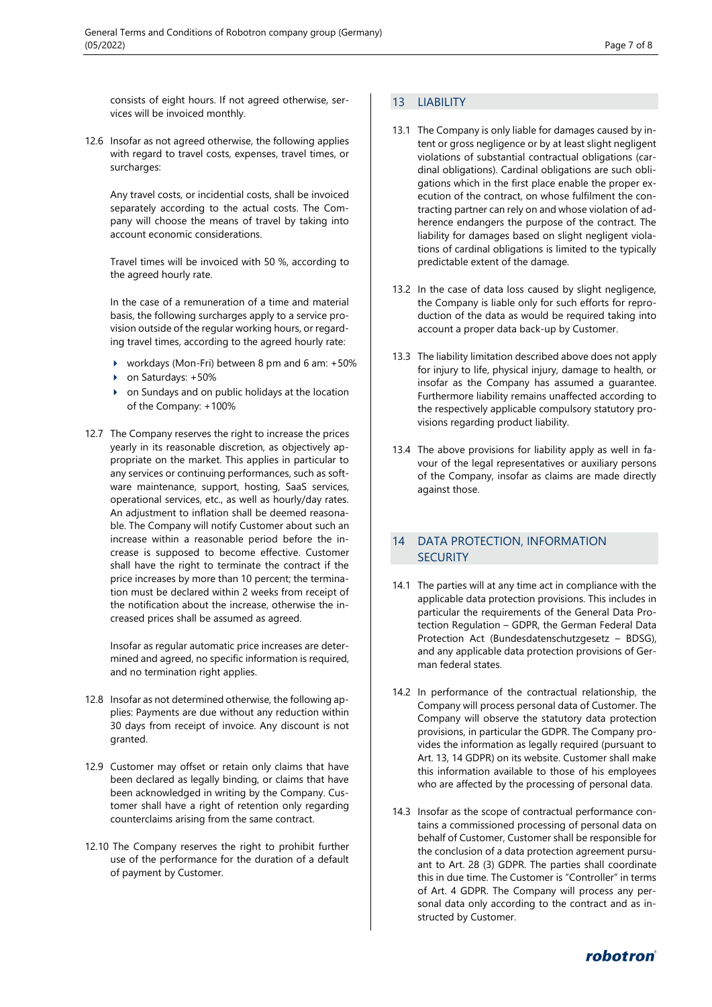consists of eight hours. If not agreed otherwise, services will be invoiced monthly.

12.6 Insofar as not agreed otherwise, the following applies with regard to travel costs, expenses, travel times, or surcharges:

Any travel costs, or incidential costs, shall be invoiced separately according to the actual costs. The Company will choose the means of travel by taking into account economic considerations.

Travel times will be invoiced with 50 %, according to the agreed hourly rate.

In the case of a remuneration of a time and material basis, the following surcharges apply to a service provision outside of the regular working hours, or regarding travel times, according to the agreed hourly rate:

- workdays (Mon-Fri) between 8 pm and 6 am: +50%
- on Saturdays: +50%
- on Sundays and on public holidays at the location of the Company: +100%
- 12.7 The Company reserves the right to increase the prices yearly in its reasonable discretion, as objectively appropriate on the market. This applies in particular to any services or continuing performances, such as software maintenance, support, hosting, SaaS services, operational services, etc., as well as hourly/day rates. An adjustment to inflation shall be deemed reasonable. The Company will notify Customer about such an increase within a reasonable period before the increase is supposed to become effective. Customer shall have the right to terminate the contract if the price increases by more than 10 percent; the termination must be declared within 2 weeks from receipt of the notification about the increase, otherwise the increased prices shall be assumed as agreed.

Insofar as regular automatic price increases are determined and agreed, no specific information is required, and no termination right applies.

- 12.8 Insofar as not determined otherwise, the following applies: Payments are due without any reduction within 30 days from receipt of invoice. Any discount is not granted.
- 12.9 Customer may offset or retain only claims that have been declared as legally binding, or claims that have been acknowledged in writing by the Company. Customer shall have a right of retention only regarding counterclaims arising from the same contract.
- 12.10 The Company reserves the right to prohibit further use of the performance for the duration of a default of payment by Customer.

# 13 LIABILITY

- 13.1 The Company is only liable for damages caused by intent or gross negligence or by at least slight negligent violations of substantial contractual obligations (cardinal obligations). Cardinal obligations are such obligations which in the first place enable the proper execution of the contract, on whose fulfilment the contracting partner can rely on and whose violation of adherence endangers the purpose of the contract. The liability for damages based on slight negligent violations of cardinal obligations is limited to the typically predictable extent of the damage.
- 13.2 In the case of data loss caused by slight negligence, the Company is liable only for such efforts for reproduction of the data as would be required taking into account a proper data back-up by Customer.
- 13.3 The liability limitation described above does not apply for injury to life, physical injury, damage to health, or insofar as the Company has assumed a guarantee. Furthermore liability remains unaffected according to the respectively applicable compulsory statutory provisions regarding product liability.
- 13.4 The above provisions for liability apply as well in favour of the legal representatives or auxiliary persons of the Company, insofar as claims are made directly against those.

# 14 DATA PROTECTION, INFORMATION **SECURITY**

- 14.1 The parties will at any time act in compliance with the applicable data protection provisions. This includes in particular the requirements of the General Data Protection Regulation – GDPR, the German Federal Data Protection Act (Bundesdatenschutzgesetz – BDSG), and any applicable data protection provisions of German federal states.
- 14.2 In performance of the contractual relationship, the Company will process personal data of Customer. The Company will observe the statutory data protection provisions, in particular the GDPR. The Company provides the information as legally required (pursuant to Art. 13, 14 GDPR) on its website. Customer shall make this information available to those of his employees who are affected by the processing of personal data.
- 14.3 Insofar as the scope of contractual performance contains a commissioned processing of personal data on behalf of Customer, Customer shall be responsible for the conclusion of a data protection agreement pursuant to Art. 28 (3) GDPR. The parties shall coordinate this in due time. The Customer is "Controller" in terms of Art. 4 GDPR. The Company will process any personal data only according to the contract and as instructed by Customer.